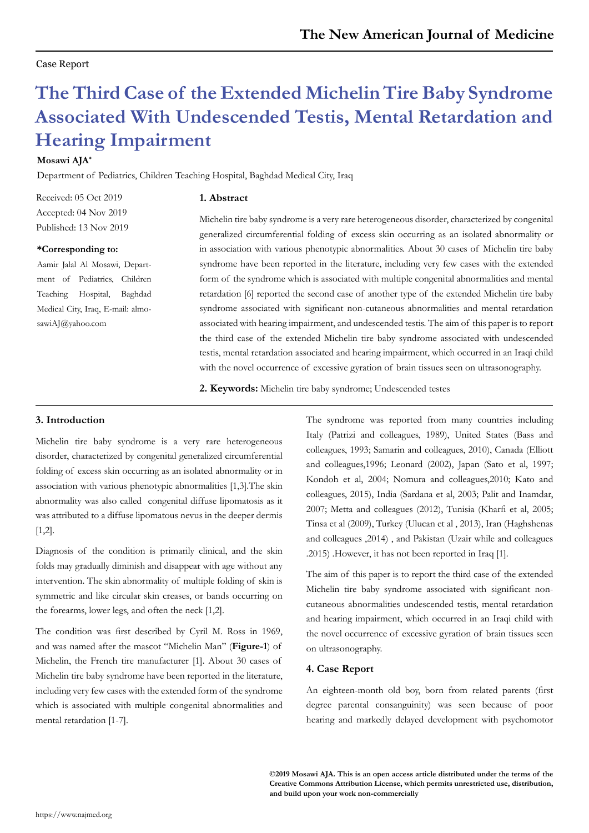### Case Report

# **The Third Case of the Extended Michelin Tire Baby Syndrome Associated With Undescended Testis, Mental Retardation and Hearing Impairment**

### **Mosawi AJA\***

Department of Pediatrics, Children Teaching Hospital, Baghdad Medical City, Iraq

**1. Abstract**

Received: 05 Oct 2019 Accepted: 04 Nov 2019 Published: 13 Nov 2019

#### **\*Corresponding to:**

Aamir Jalal Al Mosawi, Department of Pediatrics, Children Teaching Hospital, Baghdad Medical City, Iraq, E-mail: almosawiAJ@yahoo.com

Michelin tire baby syndrome is a very rare heterogeneous disorder, characterized by congenital generalized circumferential folding of excess skin occurring as an isolated abnormality or in association with various phenotypic abnormalities. About 30 cases of Michelin tire baby syndrome have been reported in the literature, including very few cases with the extended form of the syndrome which is associated with multiple congenital abnormalities and mental retardation [6] reported the second case of another type of the extended Michelin tire baby syndrome associated with significant non-cutaneous abnormalities and mental retardation associated with hearing impairment, and undescended testis. The aim of this paper is to report the third case of the extended Michelin tire baby syndrome associated with undescended testis, mental retardation associated and hearing impairment, which occurred in an Iraqi child with the novel occurrence of excessive gyration of brain tissues seen on ultrasonography.

**2. Keywords:** Michelin tire baby syndrome; Undescended testes

## **3. Introduction**

Michelin tire baby syndrome is a very rare heterogeneous disorder, characterized by congenital generalized circumferential folding of excess skin occurring as an isolated abnormality or in association with various phenotypic abnormalities [1,3].The skin abnormality was also called congenital diffuse lipomatosis as it was attributed to a diffuse lipomatous nevus in the deeper dermis [1,2].

Diagnosis of the condition is primarily clinical, and the skin folds may gradually diminish and disappear with age without any intervention. The skin abnormality of multiple folding of skin is symmetric and like circular skin creases, or bands occurring on the forearms, lower legs, and often the neck [1,2].

The condition was first described by Cyril M. Ross in 1969, and was named after the mascot "Michelin Man" (**Figure-1**) of Michelin, the French tire manufacturer [1]. About 30 cases of Michelin tire baby syndrome have been reported in the literature, including very few cases with the extended form of the syndrome which is associated with multiple congenital abnormalities and mental retardation [1-7].

The syndrome was reported from many countries including Italy (Patrizi and colleagues, 1989), United States (Bass and colleagues, 1993; Samarin and colleagues, 2010), Canada (Elliott and colleagues,1996; Leonard (2002), Japan (Sato et al, 1997; Kondoh et al, 2004; Nomura and colleagues,2010; Kato and colleagues, 2015), India (Sardana et al, 2003; Palit and Inamdar, 2007; Metta and colleagues (2012), Tunisia (Kharfi et al, 2005; Tinsa et al (2009), Turkey (Ulucan et al , 2013), Iran (Haghshenas and colleagues ,2014) , and Pakistan (Uzair while and colleagues .2015) .However, it has not been reported in Iraq [1].

The aim of this paper is to report the third case of the extended Michelin tire baby syndrome associated with significant noncutaneous abnormalities undescended testis, mental retardation and hearing impairment, which occurred in an Iraqi child with the novel occurrence of excessive gyration of brain tissues seen on ultrasonography.

#### **4. Case Report**

An eighteen-month old boy, born from related parents (first degree parental consanguinity) was seen because of poor hearing and markedly delayed development with psychomotor

**©2019 Mosawi AJA. This is an open access article distributed under the terms of the Creative Commons Attribution License, which permits unrestricted use, distribution, and build upon your work non-commercially**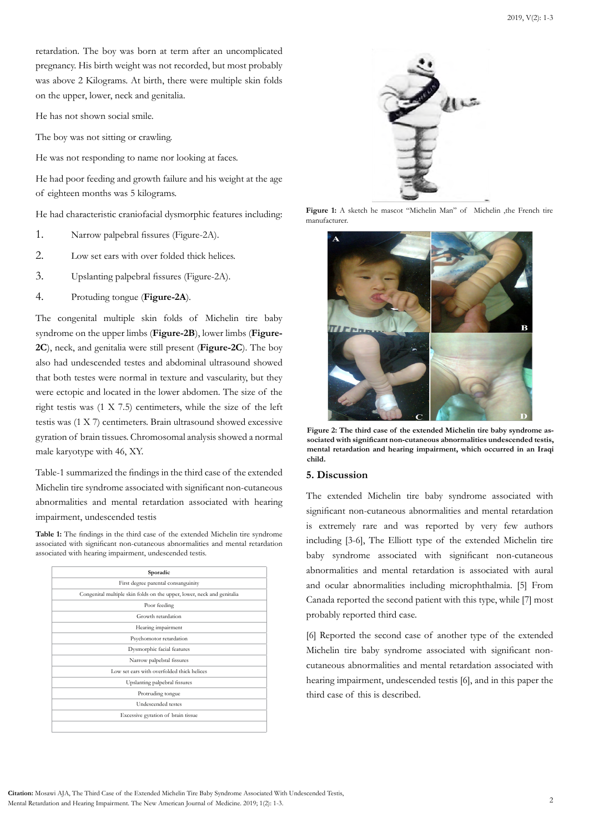retardation. The boy was born at term after an uncomplicated pregnancy. His birth weight was not recorded, but most probably was above 2 Kilograms. At birth, there were multiple skin folds on the upper, lower, neck and genitalia.

He has not shown social smile.

The boy was not sitting or crawling.

He was not responding to name nor looking at faces.

He had poor feeding and growth failure and his weight at the age of eighteen months was 5 kilograms.

He had characteristic craniofacial dysmorphic features including:

- 1. Narrow palpebral fissures (Figure-2A).
- 2. Low set ears with over folded thick helices.
- 3. Upslanting palpebral fissures (Figure-2A).
- 4. Protuding tongue (**Figure-2A**).

The congenital multiple skin folds of Michelin tire baby syndrome on the upper limbs (**Figure-2B**), lower limbs (**Figure-2C**), neck, and genitalia were still present (**Figure-2C**). The boy also had undescended testes and abdominal ultrasound showed that both testes were normal in texture and vascularity, but they were ectopic and located in the lower abdomen. The size of the right testis was (1 X 7.5) centimeters, while the size of the left testis was (1 X 7) centimeters. Brain ultrasound showed excessive gyration of brain tissues. Chromosomal analysis showed a normal male karyotype with 46, XY.

Table-1 summarized the findings in the third case of the extended Michelin tire syndrome associated with significant non-cutaneous abnormalities and mental retardation associated with hearing impairment, undescended testis

Table 1: The findings in the third case of the extended Michelin tire syndrome associated with significant non-cutaneous abnormalities and mental retardation associated with hearing impairment, undescended testis.

| Sporadic                                                               |
|------------------------------------------------------------------------|
| First degree parental consanguinity                                    |
| Congenital multiple skin folds on the upper, lower, neck and genitalia |
| Poor feeding                                                           |
| Growth retardation                                                     |
| Hearing impairment                                                     |
| Psychomotor retardation                                                |
| Dysmorphic facial features                                             |
| Narrow palpebral fissures                                              |
| Low set ears with overfolded thick helices                             |
| Upslanting palpebral fissures                                          |
| Protruding tongue                                                      |
| Undescended testes                                                     |
| Excessive gyration of brain tissue                                     |
|                                                                        |



Figure 1: A sketch he mascot "Michelin Man" of Michelin ,the French tire manufacturer.



**Figure 2: The third case of the extended Michelin tire baby syndrome associated with significant non-cutaneous abnormalities undescended testis, mental retardation and hearing impairment, which occurred in an Iraqi child.** 

#### **5. Discussion**

The extended Michelin tire baby syndrome associated with significant non-cutaneous abnormalities and mental retardation is extremely rare and was reported by very few authors including [3-6], The Elliott type of the extended Michelin tire baby syndrome associated with significant non-cutaneous abnormalities and mental retardation is associated with aural and ocular abnormalities including microphthalmia. [5] From Canada reported the second patient with this type, while [7] most probably reported third case.

[6] Reported the second case of another type of the extended Michelin tire baby syndrome associated with significant noncutaneous abnormalities and mental retardation associated with hearing impairment, undescended testis [6], and in this paper the third case of this is described.